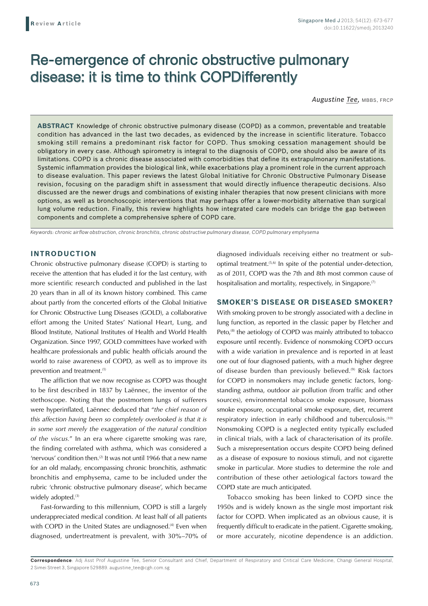# Re-emergence of chronic obstructive pulmonary disease: it is time to think COPDifferently

*Augustine Tee,* MBBS, FRCP

**ABSTRACT** Knowledge of chronic obstructive pulmonary disease (COPD) as a common, preventable and treatable condition has advanced in the last two decades, as evidenced by the increase in scientific literature. Tobacco smoking still remains a predominant risk factor for COPD. Thus smoking cessation management should be obligatory in every case. Although spirometry is integral to the diagnosis of COPD, one should also be aware of its limitations. COPD is a chronic disease associated with comorbidities that define its extrapulmonary manifestations. Systemic inflammation provides the biological link, while exacerbations play a prominent role in the current approach to disease evaluation. This paper reviews the latest Global Initiative for Chronic Obstructive Pulmonary Disease revision, focusing on the paradigm shift in assessment that would directly influence therapeutic decisions. Also discussed are the newer drugs and combinations of existing inhaler therapies that now present clinicians with more options, as well as bronchoscopic interventions that may perhaps offer a lower-morbidity alternative than surgical lung volume reduction. Finally, this review highlights how integrated care models can bridge the gap between components and complete a comprehensive sphere of COPD care.

*Keywords: chronic airflow obstruction, chronic bronchitis, chronic obstructive pulmonary disease, COPD pulmonary emphysema* 

## **INTRODUCTION**

Chronic obstructive pulmonary disease (COPD) is starting to receive the attention that has eluded it for the last century, with more scientific research conducted and published in the last 20 years than in all of its known history combined. This came about partly from the concerted efforts of the Global Initiative for Chronic Obstructive Lung Diseases (GOLD), a collaborative effort among the United States' National Heart, Lung, and Blood Institute, National Institutes of Health and World Health Organization. Since 1997, GOLD committees have worked with healthcare professionals and public health officials around the world to raise awareness of COPD, as well as to improve its prevention and treatment.<sup>(1)</sup>

The affliction that we now recognise as COPD was thought to be first described in 1837 by Laënnec, the inventor of the stethoscope. Noting that the postmortem lungs of sufferers were hyperinflated, Laënnec deduced that "*the chief reason of this affection having been so completely overlooked is that it is in some sort merely the exaggeration of the natural condition of the viscus.*" In an era where cigarette smoking was rare, the finding correlated with asthma, which was considered a 'nervous' condition then.<sup>(2)</sup> It was not until 1966 that a new name for an old malady, encompassing chronic bronchitis, asthmatic bronchitis and emphysema, came to be included under the rubric 'chronic obstructive pulmonary disease', which became widely adopted.<sup>(3)</sup>

Fast-forwarding to this millennium, COPD is still a largely underappreciated medical condition. At least half of all patients with COPD in the United States are undiagnosed.<sup>(4)</sup> Even when diagnosed, undertreatment is prevalent, with 30%–70% of diagnosed individuals receiving either no treatment or suboptimal treatment.(5,6) In spite of the potential under-detection, as of 2011, COPD was the 7th and 8th most common cause of hospitalisation and mortality, respectively, in Singapore.<sup>(7)</sup>

#### **SMOKER'S DISEASE OR DISEASED SMOKER?**

With smoking proven to be strongly associated with a decline in lung function, as reported in the classic paper by Fletcher and Peto,<sup>(8)</sup> the aetiology of COPD was mainly attributed to tobacco exposure until recently. Evidence of nonsmoking COPD occurs with a wide variation in prevalence and is reported in at least one out of four diagnosed patients, with a much higher degree of disease burden than previously believed.<sup>(9)</sup> Risk factors for COPD in nonsmokers may include genetic factors, longstanding asthma, outdoor air pollution (from traffic and other sources), environmental tobacco smoke exposure, biomass smoke exposure, occupational smoke exposure, diet, recurrent respiratory infection in early childhood and tuberculosis.<sup>(10)</sup> Nonsmoking COPD is a neglected entity typically excluded in clinical trials, with a lack of characterisation of its profile. Such a misrepresentation occurs despite COPD being defined as a disease of exposure to noxious stimuli, and not cigarette smoke in particular. More studies to determine the role and contribution of these other aetiological factors toward the COPD state are much anticipated.

Tobacco smoking has been linked to COPD since the 1950s and is widely known as the single most important risk factor for COPD. When implicated as an obvious cause, it is frequently difficult to eradicate in the patient. Cigarette smoking, or more accurately, nicotine dependence is an addiction.

**Correspondence**: Adj Asst Prof Augustine Tee, Senior Consultant and Chief, Department of Respiratory and Critical Care Medicine, Changi General Hospital, 2 Simei Street 3, Singapore 529889. augustine\_tee@cgh.com.sg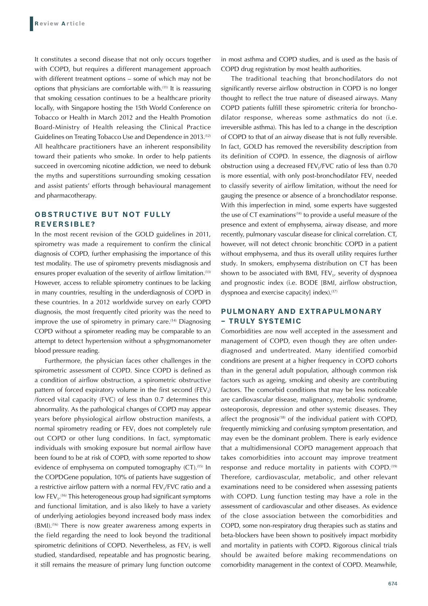It constitutes a second disease that not only occurs together with COPD, but requires a different management approach with different treatment options – some of which may not be options that physicians are comfortable with.(11) It is reassuring that smoking cessation continues to be a healthcare priority locally, with Singapore hosting the 15th World Conference on Tobacco or Health in March 2012 and the Health Promotion Board-Ministry of Health releasing the Clinical Practice Guidelines on Treating Tobacco Use and Dependence in 2013.(12) All healthcare practitioners have an inherent responsibility toward their patients who smoke. In order to help patients succeed in overcoming nicotine addiction, we need to debunk the myths and superstitions surrounding smoking cessation and assist patients' efforts through behavioural management and pharmacotherapy.

# **OBSTRUCTIVE BUT NOT FULLY REVERSIBLE?**

In the most recent revision of the GOLD guidelines in 2011, spirometry was made a requirement to confirm the clinical diagnosis of COPD, further emphasising the importance of this test modality. The use of spirometry prevents misdiagnosis and ensures proper evaluation of the severity of airflow limitation.(13) However, access to reliable spirometry continues to be lacking in many countries, resulting in the underdiagnosis of COPD in these countries. In a 2012 worldwide survey on early COPD diagnosis, the most frequently cited priority was the need to improve the use of spirometry in primary care.<sup>(14)</sup> Diagnosing COPD without a spirometer reading may be comparable to an attempt to detect hypertension without a sphygmomanometer blood pressure reading.

Furthermore, the physician faces other challenges in the spirometric assessment of COPD. Since COPD is defined as a condition of airflow obstruction, a spirometric obstructive pattern of forced expiratory volume in the first second (FEV<sub>1</sub>) /forced vital capacity (FVC) of less than 0.7 determines this abnormality. As the pathological changes of COPD may appear years before physiological airflow obstruction manifests, a normal spirometry reading or  $FEV<sub>1</sub>$  does not completely rule out COPD or other lung conditions. In fact, symptomatic individuals with smoking exposure but normal airflow have been found to be at risk of COPD, with some reported to show evidence of emphysema on computed tomography (CT).<sup>(15)</sup> In the COPDGene population, 10% of patients have suggestion of a restrictive airflow pattern with a normal FEV1/FVC ratio and a low  $FEV<sub>1</sub>$ .<sup>(16)</sup> This heterogeneous group had significant symptoms and functional limitation, and is also likely to have a variety of underlying aetiologies beyond increased body mass index (BMI).(16) There is now greater awareness among experts in the field regarding the need to look beyond the traditional spirometric definitions of COPD. Nevertheless, as  $FEV<sub>1</sub>$  is well studied, standardised, repeatable and has prognostic bearing, it still remains the measure of primary lung function outcome

in most asthma and COPD studies, and is used as the basis of COPD drug registration by most health authorities.

The traditional teaching that bronchodilators do not significantly reverse airflow obstruction in COPD is no longer thought to reflect the true nature of diseased airways. Many COPD patients fulfill these spirometric criteria for bronchodilator response, whereas some asthmatics do not (i.e. irreversible asthma). This has led to a change in the description of COPD to that of an airway disease that is not fully reversible. In fact, GOLD has removed the reversibility description from its definition of COPD. In essence, the diagnosis of airflow obstruction using a decreased FEV<sub>1</sub>/FVC ratio of less than 0.70 is more essential, with only post-bronchodilator  $FEV<sub>1</sub>$  needed to classify severity of airflow limitation, without the need for gauging the presence or absence of a bronchodilator response. With this imperfection in mind, some experts have suggested the use of CT examinations<sup>(14)</sup> to provide a useful measure of the presence and extent of emphysema, airway disease, and more recently, pulmonary vascular disease for clinical correlation. CT, however, will not detect chronic bronchitic COPD in a patient without emphysema, and thus its overall utility requires further study. In smokers, emphysema distribution on CT has been shown to be associated with BMI,  $FEV<sub>1</sub>$ , severity of dyspnoea and prognostic index (i.e. BODE [BMI, airflow obstruction, dyspnoea and exercise capacity] index).<sup>(17)</sup>

# **PULMONARY AND EXTRAPULMONARY – TRULY SYSTEMIC**

Comorbidities are now well accepted in the assessment and management of COPD, even though they are often underdiagnosed and undertreated. Many identified comorbid conditions are present at a higher frequency in COPD cohorts than in the general adult population, although common risk factors such as ageing, smoking and obesity are contributing factors. The comorbid conditions that may be less noticeable are cardiovascular disease, malignancy, metabolic syndrome, osteoporosis, depression and other systemic diseases. They affect the prognosis $(18)$  of the individual patient with COPD, frequently mimicking and confusing symptom presentation, and may even be the dominant problem. There is early evidence that a multidimensional COPD management approach that takes comorbidities into account may improve treatment response and reduce mortality in patients with COPD.<sup>(19)</sup> Therefore, cardiovascular, metabolic, and other relevant examinations need to be considered when assessing patients with COPD. Lung function testing may have a role in the assessment of cardiovascular and other diseases. As evidence of the close association between the comorbidities and COPD, some non-respiratory drug therapies such as statins and beta-blockers have been shown to positively impact morbidity and mortality in patients with COPD. Rigorous clinical trials should be awaited before making recommendations on comorbidity management in the context of COPD. Meanwhile,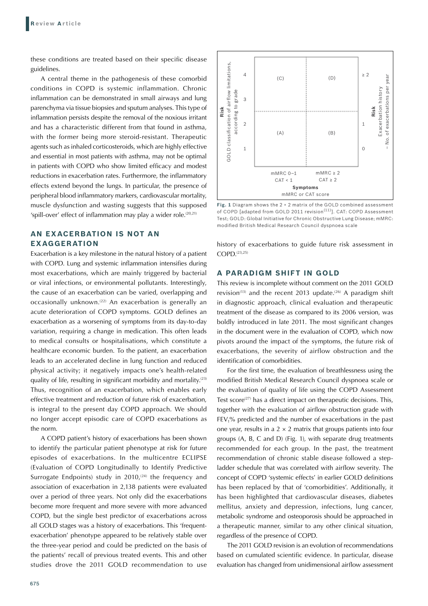these conditions are treated based on their specific disease guidelines.

A central theme in the pathogenesis of these comorbid conditions in COPD is systemic inflammation. Chronic inflammation can be demonstrated in small airways and lung parenchyma via tissue biopsies and sputum analyses. This type of inflammation persists despite the removal of the noxious irritant and has a characteristic different from that found in asthma, with the former being more steroid-resistant. Therapeutic agents such as inhaled corticosteroids, which are highly effective and essential in most patients with asthma, may not be optimal in patients with COPD who show limited efficacy and modest reductions in exacerbation rates. Furthermore, the inflammatory effects extend beyond the lungs. In particular, the presence of peripheral blood inflammatory markers, cardiovascular mortality, muscle dysfunction and wasting suggests that this supposed 'spill-over' effect of inflammation may play a wider role.<sup>(20,21)</sup>

# **AN EXACERBATION IS NOT AN EXAGGERATION**

Exacerbation is a key milestone in the natural history of a patient with COPD. Lung and systemic inflammation intensifies during most exacerbations, which are mainly triggered by bacterial or viral infections, or environmental pollutants. Interestingly, the cause of an exacerbation can be varied, overlapping and occasionally unknown.<sup>(22)</sup> An exacerbation is generally an acute deterioration of COPD symptoms. GOLD defines an exacerbation as a worsening of symptoms from its day-to-day variation, requiring a change in medication. This often leads to medical consults or hospitalisations, which constitute a healthcare economic burden. To the patient, an exacerbation leads to an accelerated decline in lung function and reduced physical activity; it negatively impacts one's health-related quality of life, resulting in significant morbidity and mortality.(23) Thus, recognition of an exacerbation, which enables early effective treatment and reduction of future risk of exacerbation, is integral to the present day COPD approach. We should no longer accept episodic care of COPD exacerbations as the norm.

A COPD patient's history of exacerbations has been shown to identify the particular patient phenotype at risk for future episodes of exacerbations. In the multicentre ECLIPSE (Evaluation of COPD Longitudinally to Identify Predictive Surrogate Endpoints) study in  $2010^{(24)}$  the frequency and association of exacerbation in 2,138 patients were evaluated over a period of three years. Not only did the exacerbations become more frequent and more severe with more advanced COPD, but the single best predictor of exacerbations across all GOLD stages was a history of exacerbations. This 'frequentexacerbation' phenotype appeared to be relatively stable over the three-year period and could be predicted on the basis of the patients' recall of previous treated events. This and other studies drove the 2011 GOLD recommendation to use



**Fig. 1** Diagram shows the 2 × 2 matrix of the GOLD combined assessment of COPD [adapted from GOLD 2011 revision<sup>(11)</sup>]. CAT: COPD Assessment Test; GOLD: Global Initiative for Chronic Obstructive Lung Disease; mMRC: modified British Medical Research Council dyspnoea scale

history of exacerbations to guide future risk assessment in COPD.(23,25)

#### **A PARADIGM SHIFT IN GOLD**

This review is incomplete without comment on the 2011 GOLD revision<sup>(13)</sup> and the recent 2013 update.<sup>(26)</sup> A paradigm shift in diagnostic approach, clinical evaluation and therapeutic treatment of the disease as compared to its 2006 version, was boldly introduced in late 2011. The most significant changes in the document were in the evaluation of COPD, which now pivots around the impact of the symptoms, the future risk of exacerbations, the severity of airflow obstruction and the identification of comorbidities.

For the first time, the evaluation of breathlessness using the modified British Medical Research Council dyspnoea scale or the evaluation of quality of life using the COPD Assessment Test score $(27)$  has a direct impact on therapeutic decisions. This, together with the evaluation of airflow obstruction grade with  $FEV<sub>1</sub>$ % predicted and the number of exacerbations in the past one year, results in a  $2 \times 2$  matrix that groups patients into four groups (A, B, C and D) (Fig. 1), with separate drug treatments recommended for each group. In the past, the treatment recommendation of chronic stable disease followed a stepladder schedule that was correlated with airflow severity. The concept of COPD 'systemic effects' in earlier GOLD definitions has been replaced by that of 'comorbidities'. Additionally, it has been highlighted that cardiovascular diseases, diabetes mellitus, anxiety and depression, infections, lung cancer, metabolic syndrome and osteoporosis should be approached in a therapeutic manner, similar to any other clinical situation, regardless of the presence of COPD.

The 2011 GOLD revision is an evolution of recommendations based on cumulated scientific evidence. In particular, disease evaluation has changed from unidimensional airflow assessment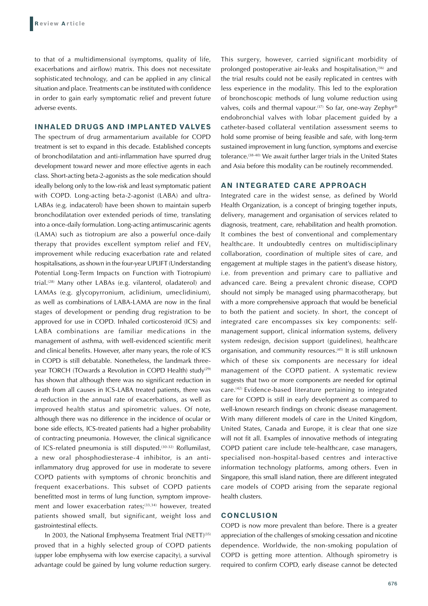to that of a multidimensional (symptoms, quality of life, exacerbations and airflow) matrix. This does not necessitate sophisticated technology, and can be applied in any clinical situation and place. Treatments can be instituted with confidence in order to gain early symptomatic relief and prevent future adverse events.

#### **INHALED DRUGS AND IMPLANTED VALVES**

The spectrum of drug armamentarium available for COPD treatment is set to expand in this decade. Established concepts of bronchodilatation and anti-inflammation have spurred drug development toward newer and more effective agents in each class. Short-acting beta-2-agonists as the sole medication should ideally belong only to the low-risk and least symptomatic patient with COPD. Long-acting beta-2-agonist (LABA) and ultra-LABAs (e.g. indacaterol) have been shown to maintain superb bronchodilatation over extended periods of time, translating into a once-daily formulation. Long-acting antimuscarinic agents (LAMA) such as tiotropium are also a powerful once-daily therapy that provides excellent symptom relief and  $FEV<sub>1</sub>$ improvement while reducing exacerbation rate and related hospitalisations, as shown in the four-year UPLIFT (Understanding Potential Long-Term Impacts on Function with Tiotropium) trial.<sup>(28)</sup> Many other LABAs (e.g. vilanterol, oladaterol) and LAMAs (e.g. glycopyrronium, aclidinium, umeclidinium), as well as combinations of LABA-LAMA are now in the final stages of development or pending drug registration to be approved for use in COPD. Inhaled corticosteroid (ICS) and LABA combinations are familiar medications in the management of asthma, with well-evidenced scientific merit and clinical benefits. However, after many years, the role of ICS in COPD is still debatable. Nonetheless, the landmark threevear TORCH (TOwards a Revolution in COPD Health) study<sup>(29)</sup> has shown that although there was no significant reduction in death from all causes in ICS-LABA treated patients, there was a reduction in the annual rate of exacerbations, as well as improved health status and spirometric values. Of note, although there was no difference in the incidence of ocular or bone side effects, ICS-treated patients had a higher probability of contracting pneumonia. However, the clinical significance of ICS-related pneumonia is still disputed.(30-32) Roflumilast, a new oral phosphodiesterase-4 inhibitor, is an antiinflammatory drug approved for use in moderate to severe COPD patients with symptoms of chronic bronchitis and frequent exacerbations. This subset of COPD patients benefitted most in terms of lung function, symptom improvement and lower exacerbation rates;<sup>(33,34)</sup> however, treated patients showed small, but significant, weight loss and gastrointestinal effects.

In 2003, the National Emphysema Treatment Trial (NETT)<sup>(35)</sup> proved that in a highly selected group of COPD patients (upper lobe emphysema with low exercise capacity), a survival advantage could be gained by lung volume reduction surgery.

This surgery, however, carried significant morbidity of prolonged postoperative air-leaks and hospitalisation,<sup>(36)</sup> and the trial results could not be easily replicated in centres with less experience in the modality. This led to the exploration of bronchoscopic methods of lung volume reduction using valves, coils and thermal vapour.<sup>(37)</sup> So far, one-way Zephyr® endobronchial valves with lobar placement guided by a catheter-based collateral ventilation assessment seems to hold some promise of being feasible and safe, with long-term sustained improvement in lung function, symptoms and exercise tolerance.<sup>(38-40)</sup> We await further larger trials in the United States and Asia before this modality can be routinely recommended.

### **AN INTEGRATED CARE APPROACH**

Integrated care in the widest sense, as defined by World Health Organization, is a concept of bringing together inputs, delivery, management and organisation of services related to diagnosis, treatment, care, rehabilitation and health promotion. It combines the best of conventional and complementary healthcare. It undoubtedly centres on multidisciplinary collaboration, coordination of multiple sites of care, and engagement at multiple stages in the patient's disease history, i.e. from prevention and primary care to palliative and advanced care. Being a prevalent chronic disease, COPD should not simply be managed using pharmacotherapy, but with a more comprehensive approach that would be beneficial to both the patient and society. In short, the concept of integrated care encompasses six key components: selfmanagement support, clinical information systems, delivery system redesign, decision support (guidelines), healthcare organisation, and community resources.<sup>(41)</sup> It is still unknown which of these six components are necessary for ideal management of the COPD patient. A systematic review suggests that two or more components are needed for optimal care.(42) Evidence-based literature pertaining to integrated care for COPD is still in early development as compared to well-known research findings on chronic disease management. With many different models of care in the United Kingdom, United States, Canada and Europe, it is clear that one size will not fit all. Examples of innovative methods of integrating COPD patient care include tele-healthcare, case managers, specialised non-hospital-based centres and interactive information technology platforms, among others. Even in Singapore, this small island nation, there are different integrated care models of COPD arising from the separate regional health clusters.

## **CONCLUSION**

COPD is now more prevalent than before. There is a greater appreciation of the challenges of smoking cessation and nicotine dependence. Worldwide, the non-smoking population of COPD is getting more attention. Although spirometry is required to confirm COPD, early disease cannot be detected